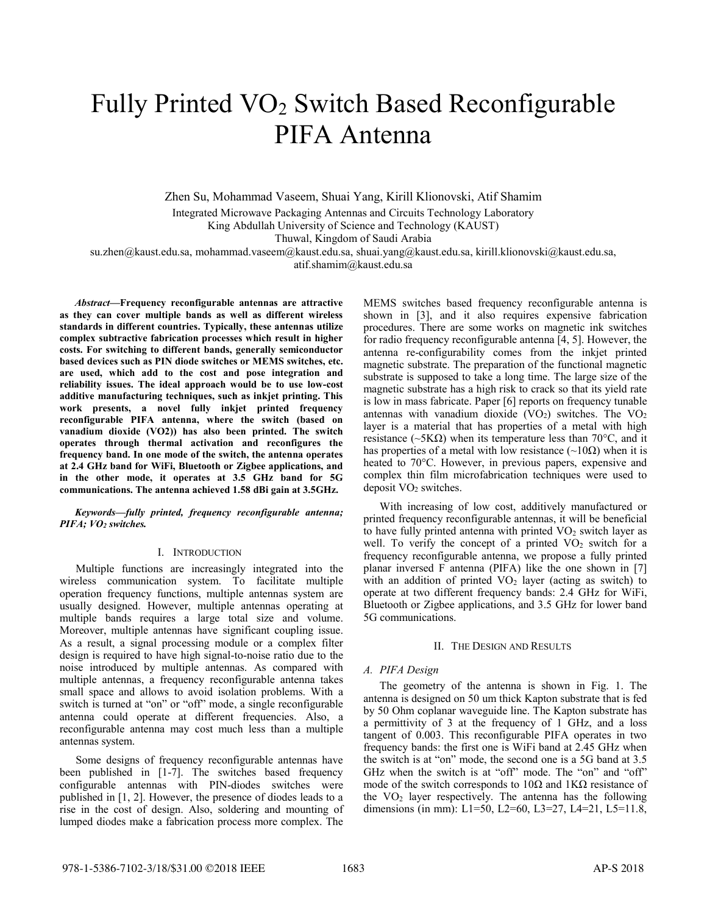# Fully Printed VO<sup>2</sup> Switch Based Reconfigurable PIFA Antenna

Zhen Su, Mohammad Vaseem, Shuai Yang, Kirill Klionovski, Atif Shamim Integrated Microwave Packaging Antennas and Circuits Technology Laboratory King Abdullah University of Science and Technology (KAUST) Thuwal, Kingdom of Saudi Arabia su.zhen@kaust.edu.sa, mohammad.vaseem@kaust.edu.sa, shuai.yang@kaust.edu.sa, kirill.klionovski@kaust.edu.sa,

atif.shamim@kaust.edu.sa

*Abstract***—Frequency reconfigurable antennas are attractive as they can cover multiple bands as well as different wireless standards in different countries. Typically, these antennas utilize complex subtractive fabrication processes which result in higher costs. For switching to different bands, generally semiconductor based devices such as PIN diode switches or MEMS switches, etc. are used, which add to the cost and pose integration and reliability issues. The ideal approach would be to use low-cost additive manufacturing techniques, such as inkjet printing. This work presents, a novel fully inkjet printed frequency reconfigurable PIFA antenna, where the switch (based on vanadium dioxide (VO2)) has also been printed. The switch operates through thermal activation and reconfigures the frequency band. In one mode of the switch, the antenna operates at 2.4 GHz band for WiFi, Bluetooth or Zigbee applications, and in the other mode, it operates at 3.5 GHz band for 5G communications. The antenna achieved 1.58 dBi gain at 3.5GHz.**

## *Keywords—fully printed, frequency reconfigurable antenna; PIFA; VO<sup>2</sup> switches.*

## I. INTRODUCTION

Multiple functions are increasingly integrated into the wireless communication system. To facilitate multiple operation frequency functions, multiple antennas system are usually designed. However, multiple antennas operating at multiple bands requires a large total size and volume. Moreover, multiple antennas have significant coupling issue. As a result, a signal processing module or a complex filter design is required to have high signal-to-noise ratio due to the noise introduced by multiple antennas. As compared with multiple antennas, a frequency reconfigurable antenna takes small space and allows to avoid isolation problems. With a switch is turned at "on" or "off" mode, a single reconfigurable antenna could operate at different frequencies. Also, a reconfigurable antenna may cost much less than a multiple antennas system.

Some designs of frequency reconfigurable antennas have been published in [1-7]. The switches based frequency configurable antennas with PIN-diodes switches were published in [1, 2]. However, the presence of diodes leads to a rise in the cost of design. Also, soldering and mounting of lumped diodes make a fabrication process more complex. The

MEMS switches based frequency reconfigurable antenna is shown in [3], and it also requires expensive fabrication procedures. There are some works on magnetic ink switches for radio frequency reconfigurable antenna [4, 5]. However, the antenna re-configurability comes from the inkjet printed magnetic substrate. The preparation of the functional magnetic substrate is supposed to take a long time. The large size of the magnetic substrate has a high risk to crack so that its yield rate is low in mass fabricate. Paper [6] reports on frequency tunable antennas with vanadium dioxide  $(VO<sub>2</sub>)$  switches. The  $VO<sub>2</sub>$ layer is a material that has properties of a metal with high resistance ( $\sim$ 5K $\Omega$ ) when its temperature less than 70°C, and it has properties of a metal with low resistance ( $\sim$ 10 $\Omega$ ) when it is heated to 70°C. However, in previous papers, expensive and complex thin film microfabrication techniques were used to deposit  $VO<sub>2</sub>$  switches.

With increasing of low cost, additively manufactured or printed frequency reconfigurable antennas, it will be beneficial to have fully printed antenna with printed  $VO<sub>2</sub>$  switch layer as well. To verify the concept of a printed  $VO<sub>2</sub>$  switch for a frequency reconfigurable antenna, we propose a fully printed planar inversed F antenna (PIFA) like the one shown in [7] with an addition of printed  $VO<sub>2</sub>$  layer (acting as switch) to operate at two different frequency bands: 2.4 GHz for WiFi, Bluetooth or Zigbee applications, and 3.5 GHz for lower band 5G communications.

### II. THE DESIGN AND RESULTS

### *A. PIFA Design*

The geometry of the antenna is shown in Fig. 1. The antenna is designed on 50 um thick Kapton substrate that is fed by 50 Ohm coplanar waveguide line. The Kapton substrate has a permittivity of 3 at the frequency of 1 GHz, and a loss tangent of 0.003. This reconfigurable PIFA operates in two frequency bands: the first one is WiFi band at 2.45 GHz when the switch is at "on" mode, the second one is a 5G band at 3.5 GHz when the switch is at "off" mode. The "on" and "off" mode of the switch corresponds to  $10\Omega$  and  $1K\Omega$  resistance of the  $VO<sub>2</sub>$  layer respectively. The antenna has the following dimensions (in mm): L1=50, L2=60, L3=27, L4=21, L5=11.8,